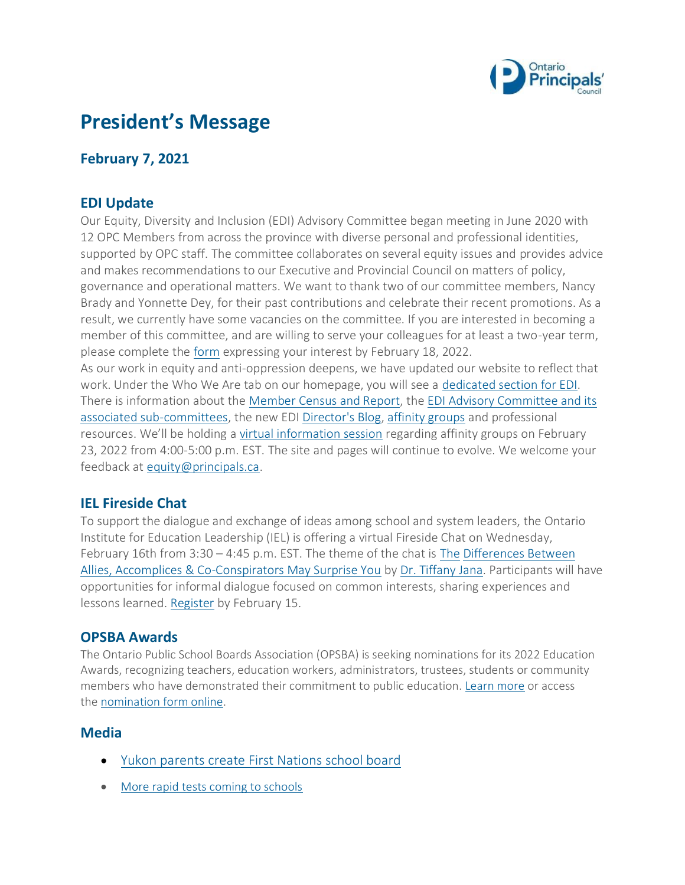

# **President's Message**

## **February 7, 2021**

### **EDI Update**

Our Equity, Diversity and Inclusion (EDI) Advisory Committee began meeting in June 2020 with 12 OPC Members from across the province with diverse personal and professional identities, supported by OPC staff. The committee collaborates on several equity issues and provides advice and makes recommendations to our Executive and Provincial Council on matters of policy, governance and operational matters. We want to thank two of our committee members, Nancy Brady and Yonnette Dey, for their past contributions and celebrate their recent promotions. As a result, we currently have some vacancies on the committee. If you are interested in becoming a member of this committee, and are willing to serve your colleagues for at least a two-year term, please complete the [form](https://forms.principals.ca/OPC-EDI-Advisory-Committee) expressing your interest by February 18, 2022. As our work in equity and anti-oppression deepens, we have updated our website to reflect that

work. Under the Who We Are tab on our homepage, you will see a [dedicated section for EDI.](https://www.principals.ca/en/who-we-are/EDI.aspx) There is information about the [Member Census and Report,](https://www.principals.ca/en/who-we-are/resources/protected/EDI-Advisory/Census/2020MembershipCensusReport.pdf) the EDI Advisory Committee and its [associated sub-committees,](https://www.principals.ca/en/who-we-are/edi-committee.aspx?_mid_=533) the new EDI [Director's Blog,](https://www.principals.ca/en/who-we-are/EDIBlog.aspx) [affinity groups](https://www.principals.ca/en/who-we-are/affinity-spaces.aspx) and professional resources. We'll be holding a [virtual information session](https://www.principals.ca/en/who-we-are/affinity-members.aspx) regarding affinity groups on February 23, 2022 from 4:00-5:00 p.m. EST. The site and pages will continue to evolve. We welcome your feedback at [equity@principals.ca.](mailto:equity@principals.ca)

#### **IEL Fireside Chat**

To support the dialogue and exchange of ideas among school and system leaders, the Ontario Institute for Education Leadership (IEL) is offering a virtual Fireside Chat on Wednesday, February 16th from 3:30 – 4:45 p.m. EST. The theme of the chat is [The](https://www.education-leadership-ontario.ca/food-thought-learning-loss-debate) [Differences Between](https://www.education-leadership-ontario.ca/food-thought-learning-loss-debate)  [Allies, Accomplices & Co-Conspirators May Surprise You](https://www.education-leadership-ontario.ca/food-thought-learning-loss-debate) by [Dr. Tiffany Jana.](https://tiffanyjana.medium.com/?source=post_page-----d3fc7fe29c-----------------------------------) Participants will have opportunities for informal dialogue focused on common interests, sharing experiences and lessons learned. [Register](https://us02web.zoom.us/meeting/register/tZwucO6pqTksHNI7TrkPtu5bDwfJUAFFwvjc) by February 15.

#### **OPSBA Awards**

The Ontario Public School Boards Association (OPSBA) is seeking nominations for its 2022 Education Awards, recognizing teachers, education workers, administrators, trustees, students or community members who have demonstrated their commitment to public education. [Learn more](https://www.opsba.org/what-we-do/awards-programs/) or access the [nomination form online.](https://www.surveymonkey.com/r/OPSBAAwards)

#### **Media**

- [Yukon parents create First Nations school board](https://globalnews.ca/news/8579838/yukon-first-nations-school-board-2/)
- [More rapid tests coming to schools](https://www.thestar.com/politics/provincial/2022/02/01/more-rapid-tests-coming-to-ontario-schools-education-minister-stephen-lecce-says.html)